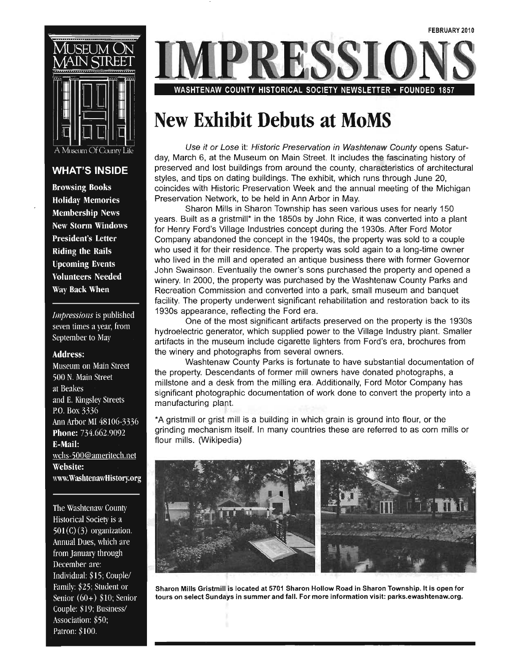

#### **WHAT'S INSIDE**

**Browsing Books Holiday Memories Membership News New Storm Windows President's Letter Riding the Rails Upcoming Events Volunteers Needed** Way Back When

Impressions is published seven times a year, from September to May

#### **Address:**

Museum on Main Street 500 N. Main Street at Beakes and E. Kingsley Streets P.O. Box 3336 Ann Arbor MI 48106-3336 **Phone:** 734.662.9092 **E-Mail:** wchs-500@ameritech.net Website: www.WashtenawHistory.org

The Washtenaw County Historical Society is a  $501(C)(3)$  organization. Annual Dues, which are from January through December are: Individual: \$15; Couple/ Family: \$25; Student or Senior  $(60+)$  \$10; Senior Couple: \$19; Business/ Association: \$50; Patron: \$100.

WASHTENAW COUNTY HISTORICAL SOCIETY NEWSLETTER · FOUNDED 1857

### **New Exhibit Debuts at MoMS**

Use it or Lose it: Historic Preservation in Washtenaw County opens Saturday, March 6, at the Museum on Main Street. It includes the fascinating history of preserved and lost buildings from around the county, characteristics of architectural styles, and tips on dating buildings. The exhibit, which runs through June 20, coincides with Historic Preservation Week and the annual meeting of the Michigan Preservation Network, to be held in Ann Arbor in May.

Sharon Mills in Sharon Township has seen various uses for nearly 150 years. Built as a gristmill\* in the 1850s by John Rice, it was converted into a plant for Henry Ford's Village Industries concept during the 1930s. After Ford Motor Company abandoned the concept in the 1940s, the property was sold to a couple who used it for their residence. The property was sold again to a long-time owner who lived in the mill and operated an antique business there with former Governor John Swainson. Eventually the owner's sons purchased the property and opened a winery. In 2000, the property was purchased by the Washtenaw County Parks and Recreation Commission and converted into a park, small museum and banquet facility. The property underwent significant rehabilitation and restoration back to its 1930s appearance, reflecting the Ford era.

One of the most significant artifacts preserved on the property is the 1930s hydroelectric generator, which supplied power to the Village Industry plant. Smaller artifacts in the museum include cigarette lighters from Ford's era, brochures from the winery and photographs from several owners.

Washtenaw County Parks is fortunate to have substantial documentation of the property. Descendants of former mill owners have donated photographs, a millstone and a desk from the milling era. Additionally, Ford Motor Company has significant photographic documentation of work done to convert the property into a manufacturing plant.

\* A gristmill or grist mill is a building in which grain is ground into flour, or the grinding mechanism itself. In many countries these are referred to as corn mills or flour mills. (Wikipedia)



Sharon Mills Gristmill is located at 5701 Sharon Hollow Road in Sharon Township. It is open for tours on select Sundays in summer and fall. For more information visit: parks.ewashtenaw.org.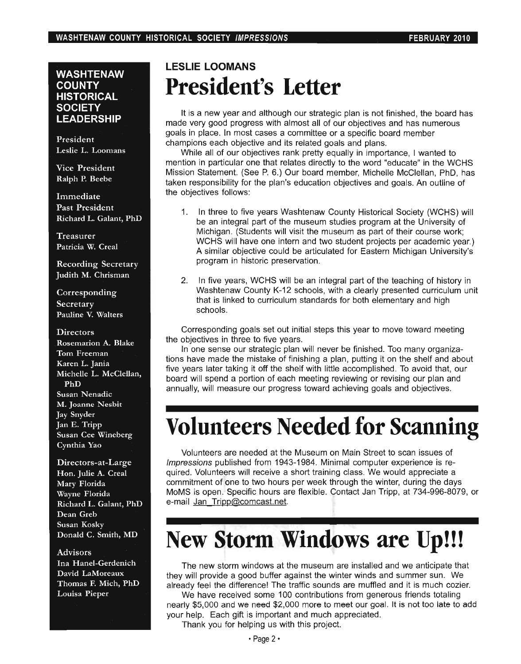#### **WASHTENAW COUNTY HISTORICAL SOCIETY LEADERSHIP**

President Leslie L. Loomans

Vice President Ralph P. Beebe

Immediate Past President Richard L. Galant, PhD

Treasurer Patricia W. Creal

Recording Secretary Judith M. Chrisman

Corresponding **Secretary** Pauline V. Walters

#### **Directors**

Rosemarion A. Blake Tom Freeman Karen L. Jania Michelle L. McClellan, PhD Susan Nenadic M. Joanne Nesbit Jay Snyder Jan E. Tripp Susan Cee Wineberg Cynthia Yao

Directors-at-Large Hon. Julie A. Creal Mary Florida Wayne Florida Richard L. Galant, PhD Dean Greb Susan Kosky Donald C. Smith, MD

#### Advisors

Ina Hanel-Gerdenich David LaMoreaux Thomas F. Mich, PhD Louisa Pieper

### **LESLIE LOOMANS President's Letter**

It is a new year and although our strategic plan is not finished, the board has made very good progress with almost all of our objectives and has numerous goals in place. In most cases a committee or a specific board member champions each objective and its related goals and plans.

While all of our objectives rank pretty equally in importance. I wanted to mention in particular one that relates directly to the word "educate" in the WCHS Mission Statement. (See P. 6.) Our board member, Michelle McClellan, PhD, has taken responsibility for the plan's education objectives and goals. An outline of the objectives follows:

- 1. In three to five years Washtenaw County Historical Society (WCHS) will be an integral part of the museum studies program at the University of Michigan. (Students will visit the museum as part of their course work; WCHS will have one intern and two student projects per academic year.) A similar objective could be articulated for Eastern Michigan University's program in historic preservation.
- 2. In five years, WCHS will be an integral part of the teaching of history in Washtenaw County K-12 schools, with a clearly presented curriculum unit that is linked to curriculum standards for both elementary and high schools.

Corresponding goals set out initial steps this year to move toward meeting the objectives in three to five years.

In one sense our strategic plan will never be finished. Too many organizations have made the mistake of finishing a plan, putting it on the shelf and about five years later taking it off the shelf with little accomplished. To avoid that, our board will spend a portion of each meeting reviewing or revising our plan and annually, will measure our progress toward achieving goals and objectives.

### **Volunteers Needed for Scanning**

Volunteers are needed at the Museum on Main Street to scan issues of Impressions published from 1943-1984. Minimal computer experience is required. Volunteers will receive a short training class. We would appreciate a commitment of one to two hours per week through the winter, during the days MoMS is open. Specific hours are flexible. Contact Jan Tripp, at 734-996-8079, or e-mail Jan Tripp@comcast.net.

## **New Storm Windows are Up!!!**

The new storm windows at the museum are installed and we anticipate that they will provide a good buffer against the winter winds and summer sun. We already feel the difference! The traffic sounds are muffled and it is much cozier.

We have received some 100 contributions from generous friends totaling nearly \$5,000 and we need \$2,000 more to meet our goal. It is not too late to add your help. Each gift is important and much appreciated.

Thank you for helping us with this project.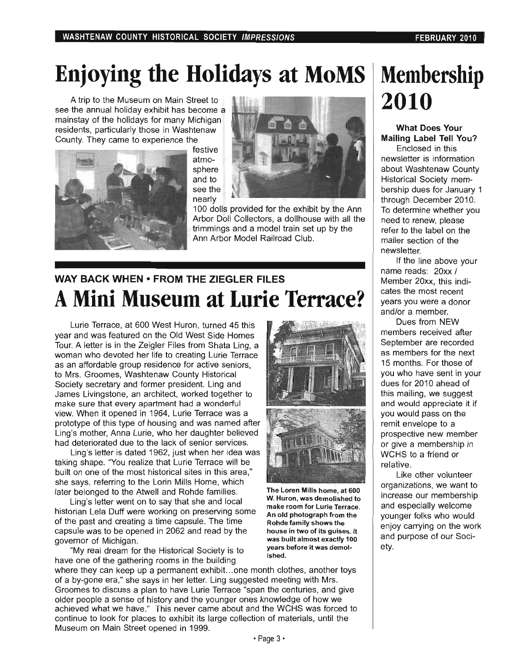## **Enjoying the Holidays at MoMS**

A trip to the Museum on Main Street to see the annual holiday exhibit has become a mainstay of the holidays for many Michigan residents, particularly those in Washtenaw County. They came to experience the



festive atmosphere and to see the nearly



100 dolls provided for the exhibit by the Ann Arbor Doll Collectors, a dollhouse with all the trimmings and a model train set up by the Ann Arbor Model Railroad Club.

### **WAY BACK WHEN • FROM THE ZIEGLER FILES A Mini Museum at Lurie Terrace?**

Lurie Terrace, at 600 West Huron, turned 45 this year and was featured on the Old West Side Homes Tour. A letter is in the Zeigler Files from Shata Ling, a woman who devoted her life to creating Lurie Terrace as an affordable group residence for active seniors, to Mrs. Groomes, Washtenaw County Historical Society secretary and former president. Ling and James liVingstone, an architect, worked together to make sure that every apartment had a wonderful view. When it opened in 1964, Lurie Terrace was a prototype of this type of housing and was named after Ling's mother, Anna Lurie, who her daughter believed had deteriorated due to the lack of senior services.

Ling's letter is dated 1962, just when her idea was taking shape. "You realize that Lurie Terrace will be built on one of the most historical sites in this area," she says, referring to the Lorin Mills Home, which later belonged to the Atwell and Rohde families.

Ling's letter went on to say that she and local historian Lela Duff were working on preserving some of the past and creating a time capsule. The time capsule was to be opened in 2062 and read by the governor of Michigan.

"My real dream for the Historical Society is to have one of the gathering rooms in the building ished. where they can keep up a permanent exhibit. .. one month clothes, another toys of a by-gone era," she says in her letter. Ling suggested meeting with Mrs. Groomes to discuss a plan to have Lurie Terrace "span the centuries, and give older people a sense of history and the younger ones knowledge of how we achieved what we have." This never came about and the WCHS was forced to continue to look for places to exhibit its large collection of materials, until the Museum on Main Street opened in 1999.



The Loren Mills home, at 600 W. Huron, was demolished to make room for Lurie Terrace. An old photograph from the Rohde family shows the house in two of its guises. It was built almost exactly 100 years before it was demol-

# **Membership 2010**

#### **What Does Your Mailing Label Tell You?**

Enclosed in this newsletter is information about Washtenaw County Historical Society membership dues for January 1 through December 2010. To determine whether you need to renew, please refer to the label on the mailer section of the newsletter.

If the line above your name reads: 20xx / Member 20xx, this indicates the most recent years you were a donor and/or a member.

Dues from NEW members received after September are recorded as members for the next 15 months. For those of you who have sent in your dues for 2010 ahead of this mailing, we suggest and would appreciate it if you would pass on the remit envelope to a prospective new member or give a membership in WCHS to a friend or relative.

Like other volunteer organizations, we want to increase our membership and especially welcome younger folks who would enjoy carrying on the work and purpose of our Society.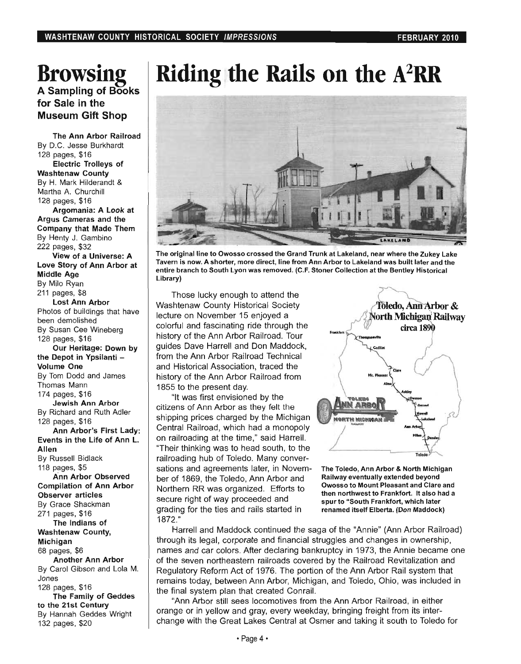### **Browsing**  A Sampling of Books for Sale in the Museum Gift Shop

The Ann Arbor Railroad By D.C. Jesse Burkhardt 128 pages, \$16 Electric Trolleys of Washtenaw County By H. Mark Hilderandt & Martha A. Churchill 128 pages, \$16

Argomania: A Look at Argus Cameras and the Company that Made Them By Henty J. Gambino 222 pages, \$32 View of a Universe: A Love Story of Ann Arbor at Middle Age By Milo Ryan 211 pages, \$8

Lost Ann Arbor Photos of buildings that have been demolished By Susan Cee Wineberg 128 pages, \$16

Our Heritage: Down by the Depot in Ypsilanti -Volume One By Tom Dodd and James Thomas Mann 174 pages, \$16

Jewish Ann Arbor By Richard and Ruth Adler 128 pages, \$16

Ann Arbor's First Lady: Events in the Life of Ann L. Allen By Russell Bidlack 118 pages, \$5 Ann Arbor Observed Compilation of Ann Arbor Observer articles By Grace Shackman 271 pages, \$16 The Indians of Washtenaw County, Michigan 68 pages, \$6 Another Ann Arbor By Carol Gibson and Lola M. Jones 128 pages, \$16 The Family of Geddes

to the 21st Century By Hannah Geddes Wright

132 pages, \$20

**Riding the Rails on the** A2RR



The original line to Owosso crossed the Grand Trunk at Lakeland, near where the Zukey Lake Tavern is now. A shorter, more direct, line from Ann Arbor to Lakeland was built later and the entire branch to South Lyon was removed. (C.F. Stoner Collection at the Bentley Historical Library)

Those lucky enough to attend the Washtenaw County Historical Society lecture on November 15 enjoyed a colorful and fascinating ride through the history of the Ann Arbor Railroad. Tour guides Dave Harrell and Don Maddock, from the Ann Arbor Railroad Technical and Historical Association, traced the history of the Ann Arbor Railroad from 1855 to the present day.

"It was first envisioned by the citizens of Ann Arbor as they felt the shipping prices charged by the Michigan Central Railroad, which had a monopoly on railroading at the time," said Harrell. "Their thinking was to head south, to the railroading hub of Toledo. Many conversations and agreements later, in November of 1869, the Toledo, Ann Arbor and Northern RR was organized. Efforts to secure right of way proceeded and grading for the ties and rails started in 1872."



The Toledo, Ann Arbor & North Michigan Railway eventually extended beyond Owosso to Mount Pleasant and Clare and then northwest to Frankfort. It also had a spur to "South Frankfort, which later renamed itself Elberta. (Don Maddock)

Harrell and Maddock continued the saga of the "Annie" (Ann Arbor Railroad) through its legal, corporate and financial struggles and changes in ownership, . names and car colors. After declaring bankruptcy in 1973, the Annie became one of the seven northeastern railroads covered by the Railroad Revitalization and Regulatory Reform Act of 1976. The portion of the Ann Arbor Rail system that remains today, between Ann Arbor, Michigan, and Toledo, Ohio, was included in the final system plan that created Conrail.

"Ann Arbor still sees locomotives from the Ann Arbor Railroad, in either orange or in yellow and gray, every weekday, bringing freight from its interchange with the Great Lakes Central at Osmer and taking it south to Toledo for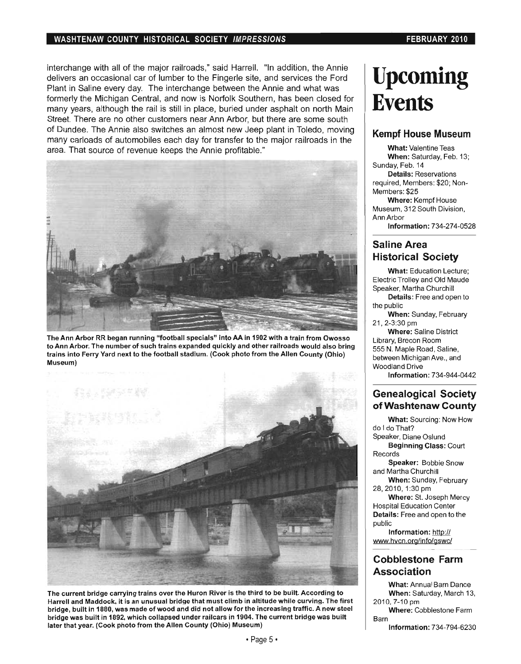#### WASHTENAW COUNTY HISTORICAL SOCIETY IMPRESSIONS FEBRUARY 2010

interchange with all of the major railroads," said Harrell. "In addition, the Annie delivers an occasional car of lumber to the Fingerle site, and services the Ford Plant in Saline every day. The interchange between the Annie and what was formerly the Michigan Central, and now is Norfolk Southern, has been closed for many years, although the rail is still in place, buried under asphalt on north Main Street. There are no other customers near Ann Arbor, but there are some south of Dundee. The Annie also switches an almost new Jeep plant in Toledo, moving many carloads of automobiles each day for transfer to the major railroads in the area. That source of revenue keeps the Annie profitable."



The Ann Arbor RR began running "football specials" into AA in 1902 with a train from Owosso to Ann Arbor. The number of such trains expanded quickly and other railroads would also bring trains into Ferry Yard next to the football stadium. (Cook photo from the Allen County (Ohio) Museum)



The current bridge carrying trains over the Huron River is the third to be built. According to Harrell and Maddock, it is an unusual bridge that must climb in altitude while curving. The first bridge, built in 1880, was made of wood and did not allow for the increasing traffic. A new steel bridge was built in 1892, which collapsed under railcars in 1904. The current bridge was built later that year. (Cook photo from the Allen County (Ohio) Museum)

## **Upcoming Events**

#### **Kempf House Museum**

What: Valentine Teas When: Saturday, Feb. 13; Sunday, Feb. 14

Details: Reservations required, Members: \$20; Non-Members: \$25

Where: Kempf House Museum, 312 South Division, Ann Arbor Information: 734-274-0528

#### **Saline Area Historical Society**

What: Education Lecture; Electric Trolley and Old Maude Speaker, Martha Churchill Details: Free and open to

the public When: Sunday, February

21 , 2-3:30 pm Where: Saline District Library, Brecon Room 555 N. Maple Road, Saline, between Michigan Ave., and Woodland Drive

Information: 734-944-0442

#### **Genealogical Society ofWashtenaw County**

What: Sourcing: Now How do I do That? Speaker, Diane Oslund Beginning Class: Court Records Speaker: Bobbie Snow and Martha Churchill When: Sunday, February 28, 2010, 1:30 pm Where: St. Joseph Mercy Hospital Education Center Details: Free and open to the public

Information: http:// www.hvcn.org/info/gswc/

#### **Cobblestone Farm Association**

What: Annual Barn Dance When: Saturday, March 13, 2010.7-10 pm

Where: Cobblestone Farm Barn

Information: 734-794-6230